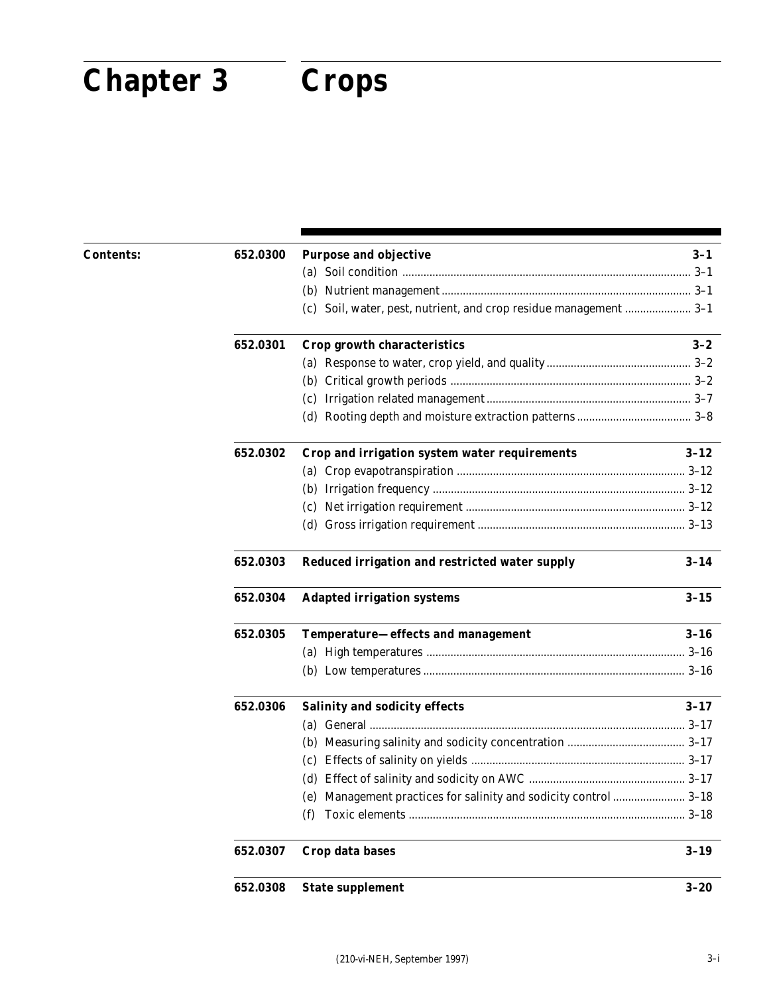# **Chapter 3 Crops Chapter 3 Crops**

| Contents: | 652.0300 | <b>Purpose and objective</b>                                      | $3-1$    |
|-----------|----------|-------------------------------------------------------------------|----------|
|           |          |                                                                   |          |
|           |          |                                                                   |          |
|           |          | (c) Soil, water, pest, nutrient, and crop residue management  3-1 |          |
|           | 652.0301 | Crop growth characteristics                                       | $3 - 2$  |
|           |          |                                                                   |          |
|           |          |                                                                   |          |
|           |          |                                                                   |          |
|           |          |                                                                   |          |
|           | 652.0302 | Crop and irrigation system water requirements                     | $3 - 12$ |
|           |          |                                                                   |          |
|           |          |                                                                   |          |
|           |          |                                                                   |          |
|           |          |                                                                   |          |
|           | 652.0303 | Reduced irrigation and restricted water supply                    | $3 - 14$ |
|           | 652.0304 | <b>Adapted irrigation systems</b>                                 | $3 - 15$ |
|           | 652.0305 | Temperature-effects and management                                | $3 - 16$ |
|           |          |                                                                   |          |
|           |          |                                                                   |          |
|           | 652.0306 | <b>Salinity and sodicity effects</b>                              | $3 - 17$ |
|           |          |                                                                   |          |
|           |          |                                                                   |          |
|           |          |                                                                   |          |
|           |          |                                                                   |          |
|           |          | (e) Management practices for salinity and sodicity control  3-18  |          |
|           |          | (f)                                                               |          |
|           | 652.0307 | Crop data bases                                                   | $3 - 19$ |
|           | 652.0308 | <b>State supplement</b>                                           | $3 - 20$ |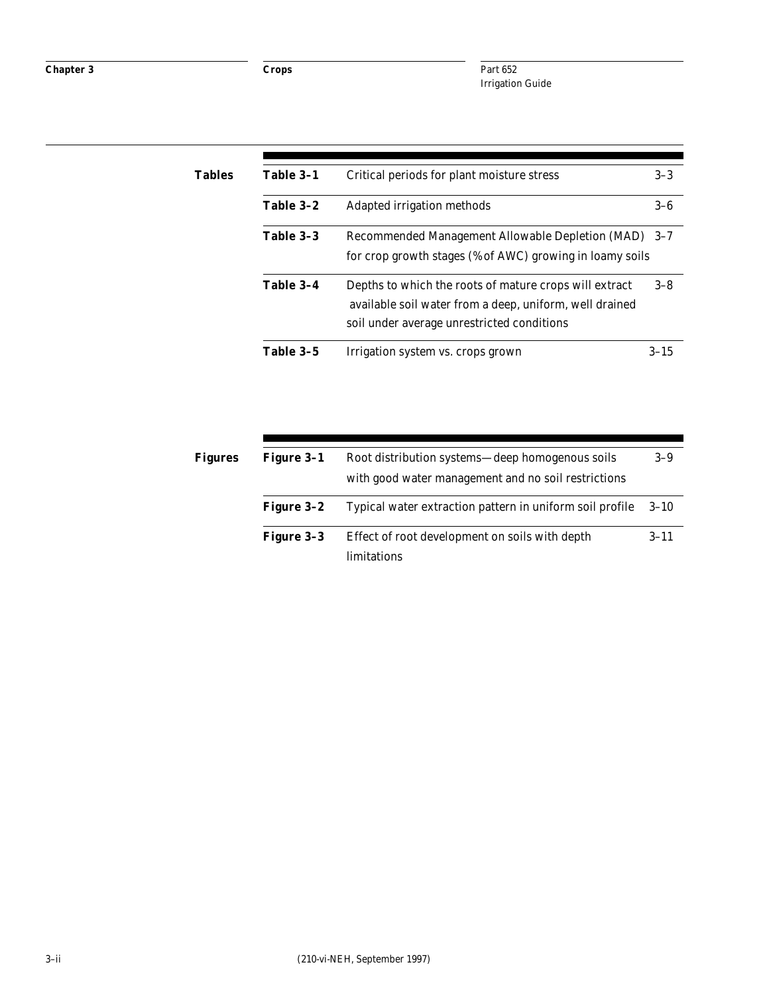| Tables | Table 3-1 | Critical periods for plant moisture stress                                                                                                                      | $3 - 3$  |
|--------|-----------|-----------------------------------------------------------------------------------------------------------------------------------------------------------------|----------|
|        | Table 3-2 | Adapted irrigation methods                                                                                                                                      | $3-6$    |
|        | Table 3-3 | Recommended Management Allowable Depletion (MAD) 3-7<br>for crop growth stages (% of AWC) growing in loamy soils                                                |          |
|        | Table 3-4 | Depths to which the roots of mature crops will extract<br>available soil water from a deep, uniform, well drained<br>soil under average unrestricted conditions | $3 - 8$  |
|        | Table 3-5 | Irrigation system vs. crops grown                                                                                                                               | $3 - 15$ |

| <b>Figure 3-1</b> | Root distribution systems—deep homogenous soils               | $3-9$    |
|-------------------|---------------------------------------------------------------|----------|
|                   | with good water management and no soil restrictions           |          |
| <b>Figure 3-2</b> | Typical water extraction pattern in uniform soil profile      | $3 - 10$ |
| Figure 3-3        | Effect of root development on soils with depth<br>limitations | $3 - 11$ |
|                   |                                                               |          |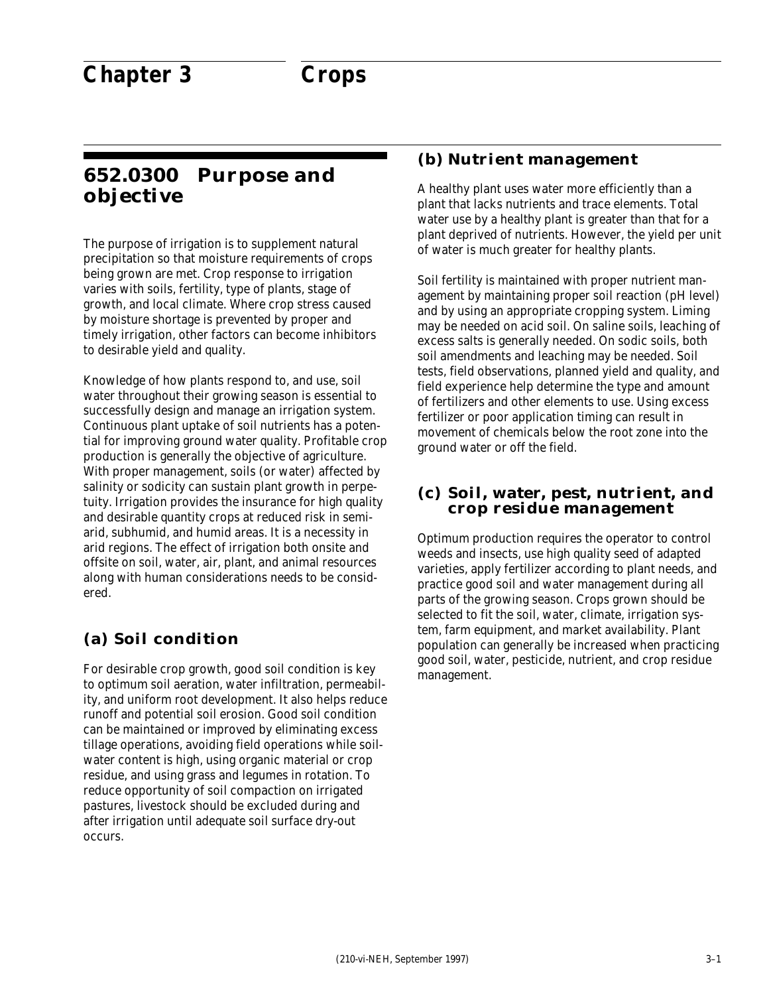### **652.0300 Purpose and objective**

The purpose of irrigation is to supplement natural precipitation so that moisture requirements of crops being grown are met. Crop response to irrigation varies with soils, fertility, type of plants, stage of growth, and local climate. Where crop stress caused by moisture shortage is prevented by proper and timely irrigation, other factors can become inhibitors to desirable yield and quality.

Knowledge of how plants respond to, and use, soil water throughout their growing season is essential to successfully design and manage an irrigation system. Continuous plant uptake of soil nutrients has a potential for improving ground water quality. Profitable crop production is generally the objective of agriculture. With proper management, soils (or water) affected by salinity or sodicity can sustain plant growth in perpetuity. Irrigation provides the insurance for high quality and desirable quantity crops at reduced risk in semiarid, subhumid, and humid areas. It is a necessity in arid regions. The effect of irrigation both onsite and offsite on soil, water, air, plant, and animal resources along with human considerations needs to be considered.

#### **(a) Soil condition**

For desirable crop growth, good soil condition is key to optimum soil aeration, water infiltration, permeability, and uniform root development. It also helps reduce runoff and potential soil erosion. Good soil condition can be maintained or improved by eliminating excess tillage operations, avoiding field operations while soilwater content is high, using organic material or crop residue, and using grass and legumes in rotation. To reduce opportunity of soil compaction on irrigated pastures, livestock should be excluded during and after irrigation until adequate soil surface dry-out occurs.

#### **(b) Nutrient management**

A healthy plant uses water more efficiently than a plant that lacks nutrients and trace elements. Total water use by a healthy plant is greater than that for a plant deprived of nutrients. However, the yield per unit of water is much greater for healthy plants.

Soil fertility is maintained with proper nutrient management by maintaining proper soil reaction (pH level) and by using an appropriate cropping system. Liming may be needed on acid soil. On saline soils, leaching of excess salts is generally needed. On sodic soils, both soil amendments and leaching may be needed. Soil tests, field observations, planned yield and quality, and field experience help determine the type and amount of fertilizers and other elements to use. Using excess fertilizer or poor application timing can result in movement of chemicals below the root zone into the ground water or off the field.

#### **(c) Soil, water, pest, nutrient, and crop residue management**

Optimum production requires the operator to control weeds and insects, use high quality seed of adapted varieties, apply fertilizer according to plant needs, and practice good soil and water management during all parts of the growing season. Crops grown should be selected to fit the soil, water, climate, irrigation system, farm equipment, and market availability. Plant population can generally be increased when practicing good soil, water, pesticide, nutrient, and crop residue management.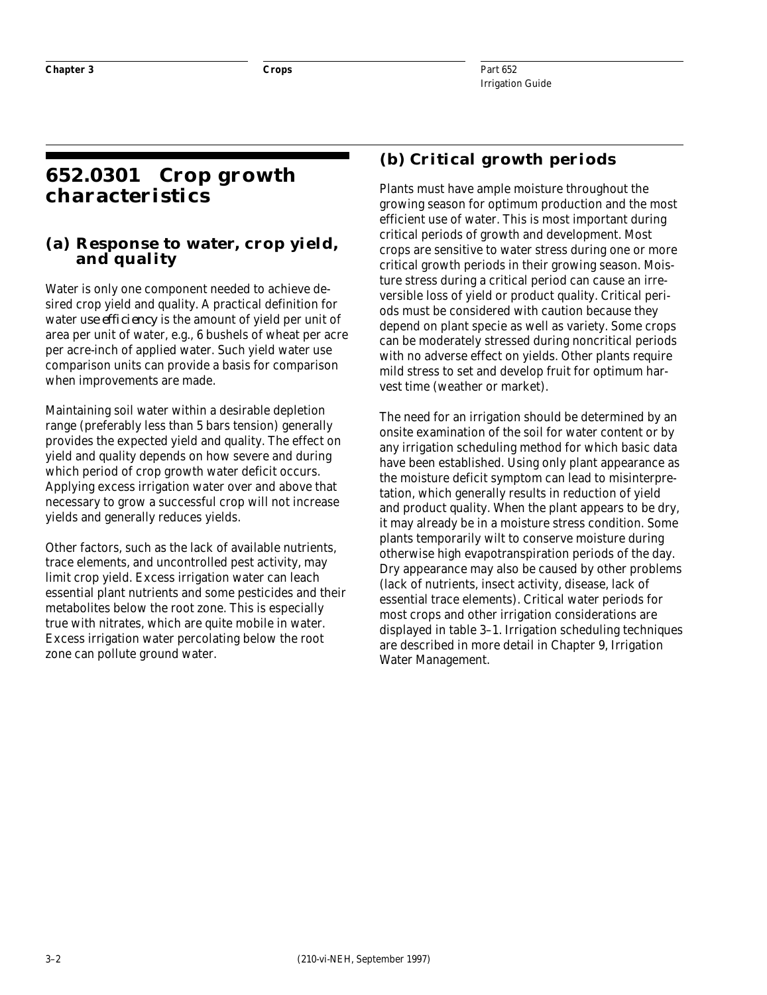### **652.0301 Crop growth characteristics**

#### **(a) Response to water, crop yield, and quality**

Water is only one component needed to achieve desired crop yield and quality. A practical definition for water u*se efficiency* is the amount of yield per unit of area per unit of water, e.g., 6 bushels of wheat per acre per acre-inch of applied water. Such yield water use comparison units can provide a basis for comparison when improvements are made.

Maintaining soil water within a desirable depletion range (preferably less than 5 bars tension) generally provides the expected yield and quality. The effect on yield and quality depends on how severe and during which period of crop growth water deficit occurs. Applying excess irrigation water over and above that necessary to grow a successful crop will not increase yields and generally reduces yields.

Other factors, such as the lack of available nutrients, trace elements, and uncontrolled pest activity, may limit crop yield. Excess irrigation water can leach essential plant nutrients and some pesticides and their metabolites below the root zone. This is especially true with nitrates, which are quite mobile in water. Excess irrigation water percolating below the root zone can pollute ground water.

### **(b) Critical growth periods**

Plants must have ample moisture throughout the growing season for optimum production and the most efficient use of water. This is most important during critical periods of growth and development. Most crops are sensitive to water stress during one or more critical growth periods in their growing season. Moisture stress during a critical period can cause an irreversible loss of yield or product quality. Critical periods must be considered with caution because they depend on plant specie as well as variety. Some crops can be moderately stressed during noncritical periods with no adverse effect on yields. Other plants require mild stress to set and develop fruit for optimum harvest time (weather or market).

The need for an irrigation should be determined by an onsite examination of the soil for water content or by any irrigation scheduling method for which basic data have been established. Using only plant appearance as the moisture deficit symptom can lead to misinterpretation, which generally results in reduction of yield and product quality. When the plant appears to be dry, it may already be in a moisture stress condition. Some plants temporarily wilt to conserve moisture during otherwise high evapotranspiration periods of the day. Dry appearance may also be caused by other problems (lack of nutrients, insect activity, disease, lack of essential trace elements). Critical water periods for most crops and other irrigation considerations are displayed in table 3–1. Irrigation scheduling techniques are described in more detail in Chapter 9, Irrigation Water Management.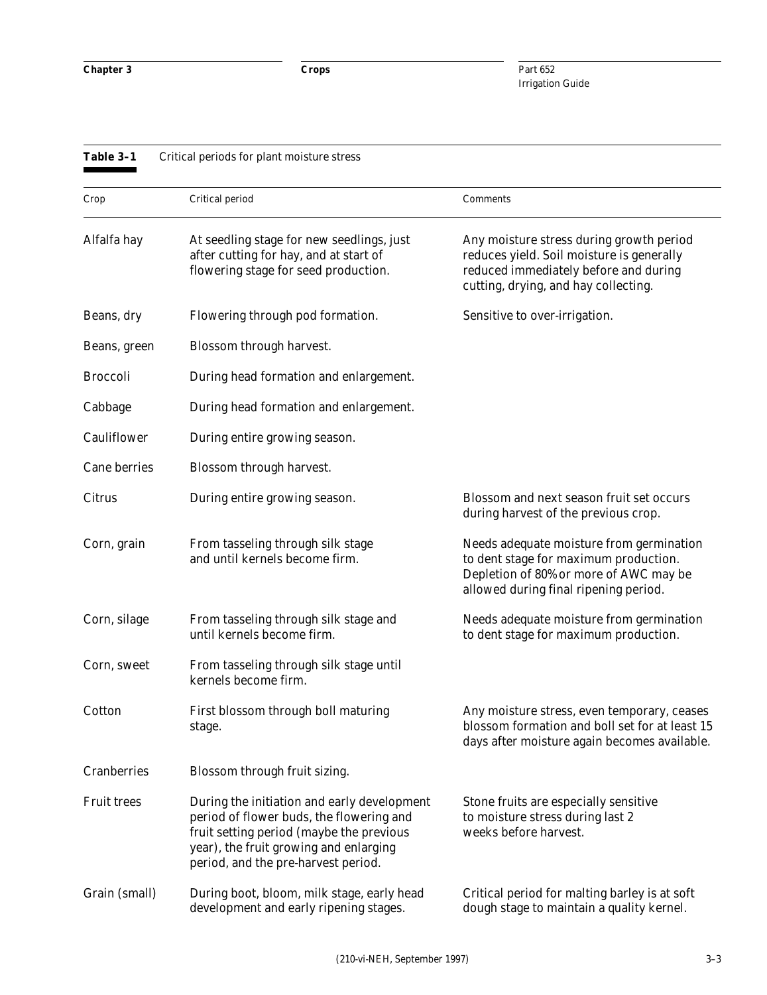| Table 3-1          | Critical periods for plant moisture stress                                                                                                                                                                           |                                                                                                                                                                        |
|--------------------|----------------------------------------------------------------------------------------------------------------------------------------------------------------------------------------------------------------------|------------------------------------------------------------------------------------------------------------------------------------------------------------------------|
| Crop               | Critical period                                                                                                                                                                                                      | Comments                                                                                                                                                               |
| Alfalfa hay        | At seedling stage for new seedlings, just<br>after cutting for hay, and at start of<br>flowering stage for seed production.                                                                                          | Any moisture stress during growth period<br>reduces yield. Soil moisture is generally<br>reduced immediately before and during<br>cutting, drying, and hay collecting. |
| Beans, dry         | Flowering through pod formation.                                                                                                                                                                                     | Sensitive to over-irrigation.                                                                                                                                          |
| Beans, green       | Blossom through harvest.                                                                                                                                                                                             |                                                                                                                                                                        |
| <b>Broccoli</b>    | During head formation and enlargement.                                                                                                                                                                               |                                                                                                                                                                        |
| Cabbage            | During head formation and enlargement.                                                                                                                                                                               |                                                                                                                                                                        |
| Cauliflower        | During entire growing season.                                                                                                                                                                                        |                                                                                                                                                                        |
| Cane berries       | Blossom through harvest.                                                                                                                                                                                             |                                                                                                                                                                        |
| Citrus             | During entire growing season.                                                                                                                                                                                        | Blossom and next season fruit set occurs<br>during harvest of the previous crop.                                                                                       |
| Corn, grain        | From tasseling through silk stage<br>and until kernels become firm.                                                                                                                                                  | Needs adequate moisture from germination<br>to dent stage for maximum production.<br>Depletion of 80% or more of AWC may be<br>allowed during final ripening period.   |
| Corn, silage       | From tasseling through silk stage and<br>until kernels become firm.                                                                                                                                                  | Needs adequate moisture from germination<br>to dent stage for maximum production.                                                                                      |
| Corn, sweet        | From tasseling through silk stage until<br>kernels become firm.                                                                                                                                                      |                                                                                                                                                                        |
| Cotton             | First blossom through boll maturing<br>stage.                                                                                                                                                                        | Any moisture stress, even temporary, ceases<br>blossom formation and boll set for at least 15<br>days after moisture again becomes available.                          |
| Cranberries        | Blossom through fruit sizing.                                                                                                                                                                                        |                                                                                                                                                                        |
| <b>Fruit trees</b> | During the initiation and early development<br>period of flower buds, the flowering and<br>fruit setting period (maybe the previous<br>year), the fruit growing and enlarging<br>period, and the pre-harvest period. | Stone fruits are especially sensitive<br>to moisture stress during last 2<br>weeks before harvest.                                                                     |
| Grain (small)      | During boot, bloom, milk stage, early head<br>development and early ripening stages.                                                                                                                                 | Critical period for malting barley is at soft<br>dough stage to maintain a quality kernel.                                                                             |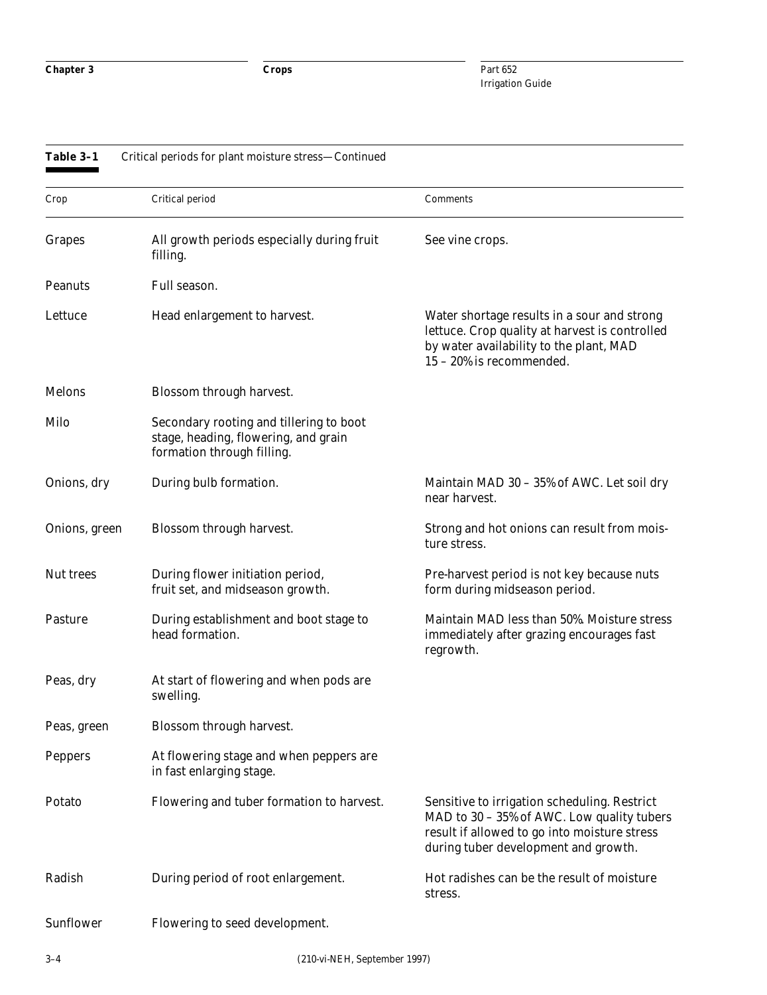| Crop           | Critical period                                                                                               | Comments                                                                                                                                                                           |
|----------------|---------------------------------------------------------------------------------------------------------------|------------------------------------------------------------------------------------------------------------------------------------------------------------------------------------|
| <b>Grapes</b>  | All growth periods especially during fruit<br>filling.                                                        | See vine crops.                                                                                                                                                                    |
| <b>Peanuts</b> | Full season.                                                                                                  |                                                                                                                                                                                    |
| Lettuce        | Head enlargement to harvest.                                                                                  | Water shortage results in a sour and strong<br>lettuce. Crop quality at harvest is controlled<br>by water availability to the plant, MAD<br>15 - 20% is recommended.               |
| <b>Melons</b>  | Blossom through harvest.                                                                                      |                                                                                                                                                                                    |
| Milo           | Secondary rooting and tillering to boot<br>stage, heading, flowering, and grain<br>formation through filling. |                                                                                                                                                                                    |
| Onions, dry    | During bulb formation.                                                                                        | Maintain MAD 30 – 35% of AWC. Let soil dry<br>near harvest.                                                                                                                        |
| Onions, green  | Blossom through harvest.                                                                                      | Strong and hot onions can result from mois-<br>ture stress.                                                                                                                        |
| Nut trees      | During flower initiation period,<br>fruit set, and midseason growth.                                          | Pre-harvest period is not key because nuts<br>form during midseason period.                                                                                                        |
| <b>Pasture</b> | During establishment and boot stage to<br>head formation.                                                     | Maintain MAD less than 50%. Moisture stress<br>immediately after grazing encourages fast<br>regrowth.                                                                              |
| Peas, dry      | At start of flowering and when pods are<br>swelling.                                                          |                                                                                                                                                                                    |
| Peas, green    | Blossom through harvest.                                                                                      |                                                                                                                                                                                    |
| <b>Peppers</b> | At flowering stage and when peppers are<br>in fast enlarging stage.                                           |                                                                                                                                                                                    |
| Potato         | Flowering and tuber formation to harvest.                                                                     | Sensitive to irrigation scheduling. Restrict<br>MAD to 30 - 35% of AWC. Low quality tubers<br>result if allowed to go into moisture stress<br>during tuber development and growth. |
| Radish         | During period of root enlargement.                                                                            | Hot radishes can be the result of moisture<br>stress.                                                                                                                              |
| Sunflower      | Flowering to seed development.                                                                                |                                                                                                                                                                                    |
|                |                                                                                                               |                                                                                                                                                                                    |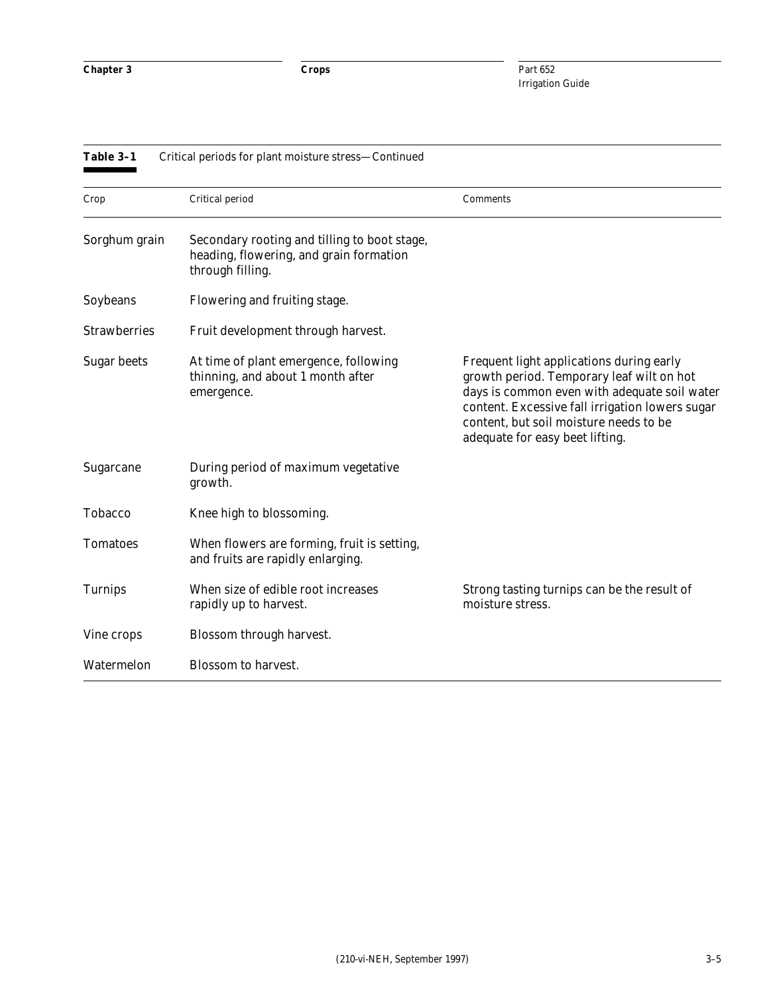| Table 3-1           | Critical periods for plant moisture stress-Continued                                                        |                                                                                                                                                                                                                                                                       |
|---------------------|-------------------------------------------------------------------------------------------------------------|-----------------------------------------------------------------------------------------------------------------------------------------------------------------------------------------------------------------------------------------------------------------------|
| Crop                | Critical period                                                                                             | Comments                                                                                                                                                                                                                                                              |
| Sorghum grain       | Secondary rooting and tilling to boot stage,<br>heading, flowering, and grain formation<br>through filling. |                                                                                                                                                                                                                                                                       |
| Soybeans            | Flowering and fruiting stage.                                                                               |                                                                                                                                                                                                                                                                       |
| <b>Strawberries</b> | Fruit development through harvest.                                                                          |                                                                                                                                                                                                                                                                       |
| <b>Sugar beets</b>  | At time of plant emergence, following<br>thinning, and about 1 month after<br>emergence.                    | Frequent light applications during early<br>growth period. Temporary leaf wilt on hot<br>days is common even with adequate soil water<br>content. Excessive fall irrigation lowers sugar<br>content, but soil moisture needs to be<br>adequate for easy beet lifting. |
| Sugarcane           | During period of maximum vegetative<br>growth.                                                              |                                                                                                                                                                                                                                                                       |
| <b>Tobacco</b>      | Knee high to blossoming.                                                                                    |                                                                                                                                                                                                                                                                       |
| <b>Tomatoes</b>     | When flowers are forming, fruit is setting,<br>and fruits are rapidly enlarging.                            |                                                                                                                                                                                                                                                                       |
| <b>Turnips</b>      | When size of edible root increases<br>rapidly up to harvest.                                                | Strong tasting turnips can be the result of<br>moisture stress.                                                                                                                                                                                                       |
| Vine crops          | Blossom through harvest.                                                                                    |                                                                                                                                                                                                                                                                       |
| Watermelon          | <b>Blossom</b> to harvest.                                                                                  |                                                                                                                                                                                                                                                                       |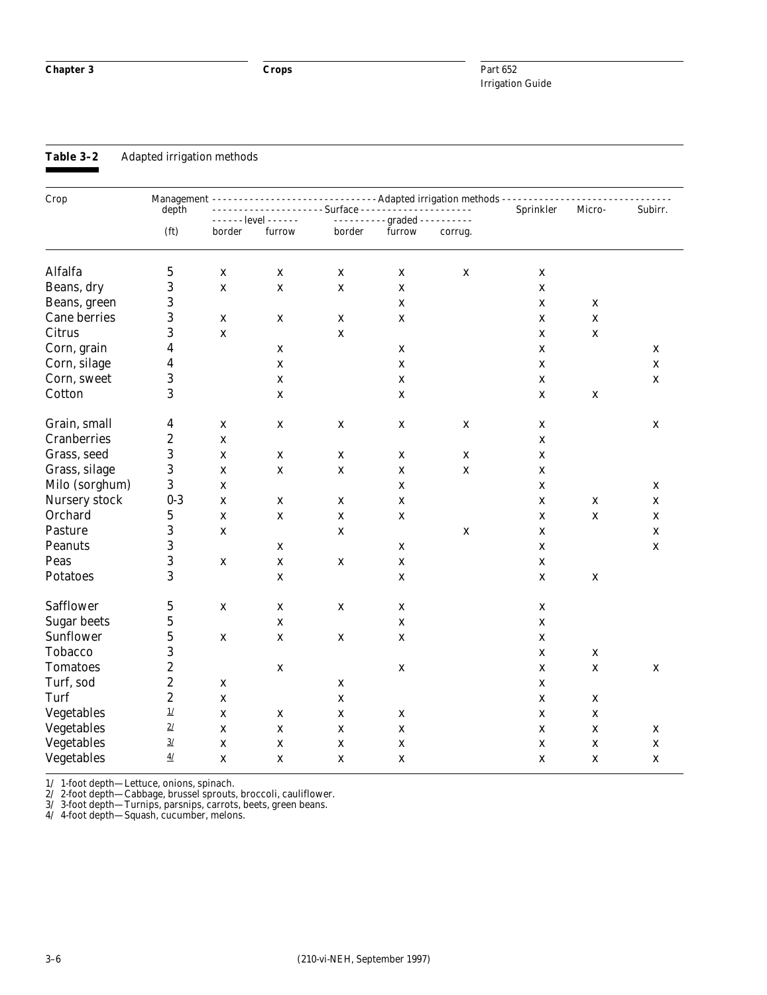**Table 3–2** Adapted irrigation methods

| Crop               |                                                | Management --------------------------------- Adapted irrigation methods - - - - - - - - - - -<br>- - - - - - - - - - - Surface - - - - - -<br>Sprinkler |             |             |                              |             |             |             |             |
|--------------------|------------------------------------------------|---------------------------------------------------------------------------------------------------------------------------------------------------------|-------------|-------------|------------------------------|-------------|-------------|-------------|-------------|
|                    |                                                | depth<br>- - - - - - level - - - - - -                                                                                                                  |             |             | ---------- graded ---------- |             |             | Micro-      | Subirr.     |
|                    | (f <sub>t</sub> )                              | border                                                                                                                                                  | furrow      | border      | furrow                       | corrug.     |             |             |             |
| Alfalfa            | $\bf 5$                                        | X                                                                                                                                                       | $\mathbf X$ | $\mathbf X$ | $\mathbf X$                  | $\mathbf X$ | X           |             |             |
| Beans, dry         | 3                                              | $\mathbf X$                                                                                                                                             | $\mathbf X$ | $\mathbf X$ | $\mathbf X$                  |             | X           |             |             |
| Beans, green       | 3                                              |                                                                                                                                                         |             |             | $\mathbf X$                  |             | $\mathbf X$ | X           |             |
| Cane berries       | 3                                              | $\mathbf X$                                                                                                                                             | X           | $\mathbf X$ | $\mathbf X$                  |             | X           | $\mathbf X$ |             |
| Citrus             | 3                                              | $\mathbf X$                                                                                                                                             |             | $\mathbf X$ |                              |             | $\mathbf X$ | $\mathbf X$ |             |
| Corn, grain        | 4                                              |                                                                                                                                                         | $\mathbf X$ |             | $\mathbf X$                  |             | X           |             | X           |
| Corn, silage       | 4                                              |                                                                                                                                                         | $\mathbf X$ |             | $\mathbf X$                  |             | $\mathbf X$ |             | $\mathbf x$ |
| Corn, sweet        | 3                                              |                                                                                                                                                         | $\mathbf X$ |             | $\mathbf X$                  |             | $\mathbf X$ |             | $\mathbf X$ |
| Cotton             | 3                                              |                                                                                                                                                         | $\mathbf x$ |             | $\mathbf X$                  |             | $\mathbf X$ | $\mathbf X$ |             |
| Grain, small       | 4                                              | $\mathbf X$                                                                                                                                             | $\mathbf X$ | $\mathbf X$ | $\mathbf X$                  | $\mathbf X$ | $\mathbf X$ |             | X           |
| <b>Cranberries</b> | $\boldsymbol{2}$                               | $\mathbf X$                                                                                                                                             |             |             |                              |             | X           |             |             |
| Grass, seed        | 3                                              | $\mathbf X$                                                                                                                                             | $\mathbf X$ | $\mathbf X$ | $\mathbf X$                  | $\mathbf X$ | $\mathbf X$ |             |             |
| Grass, silage      | 3                                              | $\mathbf X$                                                                                                                                             | $\mathbf X$ | $\mathbf X$ | $\mathbf X$                  | $\mathbf X$ | $\mathbf X$ |             |             |
| Milo (sorghum)     | 3                                              | $\mathbf X$                                                                                                                                             |             |             | $\mathbf X$                  |             | $\mathbf X$ |             | X           |
| Nursery stock      | $0-3$                                          | $\mathbf X$                                                                                                                                             | $\mathbf X$ | $\mathbf X$ | $\mathbf X$                  |             | $\mathbf X$ | $\mathbf X$ | $\mathbf x$ |
| Orchard            | $\mathbf 5$                                    | $\mathbf X$                                                                                                                                             | $\mathbf X$ | $\mathbf X$ | $\mathbf X$                  |             | $\mathbf X$ | $\mathbf X$ | X           |
| Pasture            | 3                                              | $\mathbf X$                                                                                                                                             |             | $\mathbf X$ |                              | $\mathbf X$ | X           |             | $\mathbf X$ |
| <b>Peanuts</b>     | 3                                              |                                                                                                                                                         | $\mathbf X$ |             | $\mathbf X$                  |             | $\mathbf X$ |             | $\mathbf x$ |
| Peas               | 3                                              | $\mathbf X$                                                                                                                                             | $\mathbf x$ | $\mathbf X$ | $\mathbf x$                  |             | X           |             |             |
| <b>Potatoes</b>    | 3                                              |                                                                                                                                                         | $\mathbf X$ |             | $\mathbf X$                  |             | $\mathbf X$ | $\mathbf X$ |             |
| <b>Safflower</b>   | $\mathbf 5$                                    | $\mathbf X$                                                                                                                                             | $\mathbf X$ | $\mathbf X$ | $\mathbf X$                  |             | $\mathbf X$ |             |             |
| <b>Sugar beets</b> | $\mathbf 5$                                    |                                                                                                                                                         | $\mathbf X$ |             | $\mathbf X$                  |             | $\mathbf X$ |             |             |
| Sunflower          | $\mathbf 5$                                    | $\mathbf X$                                                                                                                                             | $\mathbf X$ | $\mathbf X$ | $\mathbf X$                  |             | $\mathbf X$ |             |             |
| Tobacco            | 3                                              |                                                                                                                                                         |             |             |                              |             | $\mathbf X$ | $\mathbf X$ |             |
| <b>Tomatoes</b>    | $\boldsymbol{2}$                               |                                                                                                                                                         | $\mathbf X$ |             | $\mathbf X$                  |             | $\mathbf X$ | $\mathbf x$ | $\mathbf X$ |
| Turf, sod          | $\boldsymbol{2}$                               | $\mathbf X$                                                                                                                                             |             | $\mathbf X$ |                              |             | $\mathbf X$ |             |             |
| Turf               | $\overline{c}$                                 | $\mathbf X$                                                                                                                                             |             | $\mathbf X$ |                              |             | $\mathbf X$ | $\mathbf X$ |             |
| Vegetables         | $\underline{\mathbf{1}}\underline{\mathbf{1}}$ | $\mathbf X$                                                                                                                                             | X           | X           | $\mathbf x$                  |             | X           | X           |             |
| Vegetables         | 2/                                             | $\mathbf X$                                                                                                                                             | $\mathbf X$ | $\mathbf X$ | $\mathbf x$                  |             | X           | X           | X           |
| Vegetables         | $\underline{3}/$                               | X                                                                                                                                                       | $\mathbf X$ | $\mathbf X$ | $\mathbf X$                  |             | X           | X           | X           |
| Vegetables         | 4/                                             | X                                                                                                                                                       | $\mathbf X$ | X           | X                            |             | X           | X           | $\mathbf X$ |

1/ 1-foot depth—Lettuce, onions, spinach.

2/ 2-foot depth—Cabbage, brussel sprouts, broccoli, cauliflower.

3/ 3-foot depth—Turnips, parsnips, carrots, beets, green beans.

4/ 4-foot depth—Squash, cucumber, melons.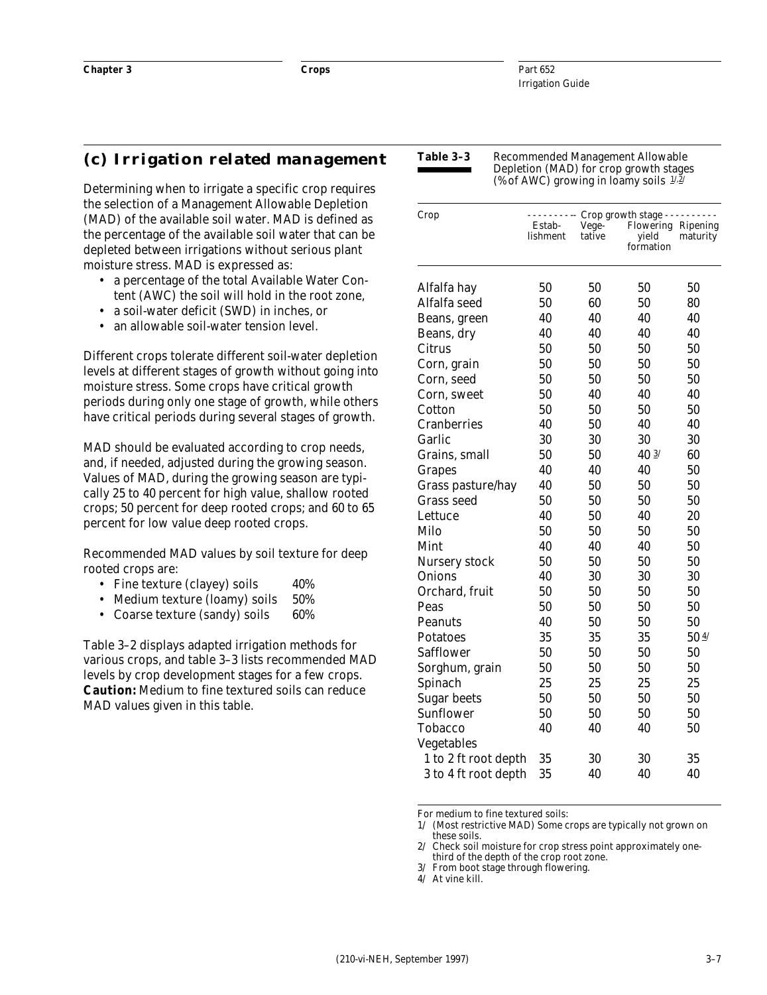#### **(c) Irrigation related management**

Determining when to irrigate a specific crop requires the selection of a Management Allowable Depletion (MAD) of the available soil water. MAD is defined as the percentage of the available soil water that can be depleted between irrigations without serious plant moisture stress. MAD is expressed as:

- a percentage of the total Available Water Content (AWC) the soil will hold in the root zone,
- a soil-water deficit (SWD) in inches, or
- an allowable soil-water tension level.

Different crops tolerate different soil-water depletion levels at different stages of growth without going into moisture stress. Some crops have critical growth periods during only one stage of growth, while others have critical periods during several stages of growth.

MAD should be evaluated according to crop needs, and, if needed, adjusted during the growing season. Values of MAD, during the growing season are typically 25 to 40 percent for high value, shallow rooted crops; 50 percent for deep rooted crops; and 60 to 65 percent for low value deep rooted crops.

Recommended MAD values by soil texture for deep rooted crops are:

- Fine texture (clayey) soils 40%
- Medium texture (loamy) soils 50%
- Coarse texture (sandy) soils 60%

Table 3–2 displays adapted irrigation methods for various crops, and table 3–3 lists recommended MAD levels by crop development stages for a few crops. **Caution:** Medium to fine textured soils can reduce MAD values given in this table.

**Table 3–3** Recommended Management Allowable Depletion (MAD) for crop growth stages (% of AWC) growing in loamy soils  $1/2$ /

| Crop                 | Estab-<br>lishment | Vege-<br>tative | Crop growth stage - -<br>Flowering Ripening<br>yield<br>formation | maturity |
|----------------------|--------------------|-----------------|-------------------------------------------------------------------|----------|
| Alfalfa hay          | 50                 | 50              | 50                                                                | 50       |
| Alfalfa seed         | 50                 | 60              | 50                                                                | 80       |
| Beans, green         | 40                 | 40              | 40                                                                | 40       |
| Beans, dry           | 40                 | 40              | 40                                                                | 40       |
| Citrus               | 50                 | 50              | 50                                                                | 50       |
| Corn, grain          | 50                 | 50              | 50                                                                | 50       |
| Corn, seed           | 50                 | 50              | 50                                                                | 50       |
| Corn, sweet          | 50                 | 40              | 40                                                                | 40       |
| Cotton               | 50                 | 50              | 50                                                                | 50       |
| <b>Cranberries</b>   | 40                 | 50              | 40                                                                | 40       |
| Garlic               | 30                 | 30              | 30                                                                | 30       |
| Grains, small        | 50                 | 50              | $40 \frac{3}{1}$                                                  | 60       |
| <b>Grapes</b>        | 40                 | 40              | 40                                                                | 50       |
| Grass pasture/hay    | 40                 | 50              | 50                                                                | 50       |
| <b>Grass seed</b>    | 50                 | 50              | 50                                                                | 50       |
| Lettuce              | 40                 | 50              | 40                                                                | 20       |
| Milo                 | 50                 | 50              | 50                                                                | 50       |
| Mint                 | 40                 | 40              | 40                                                                | 50       |
| Nursery stock        | 50                 | 50              | 50                                                                | 50       |
| <b>Onions</b>        | 40                 | 30              | 30                                                                | 30       |
| Orchard, fruit       | 50                 | 50              | 50                                                                | 50       |
| Peas                 | 50                 | 50              | 50                                                                | 50       |
| <b>Peanuts</b>       | 40                 | 50              | 50                                                                | 50       |
| Potatoes             | 35                 | 35              | 35                                                                | 504/     |
| <b>Safflower</b>     | 50                 | 50              | 50                                                                | 50       |
| Sorghum, grain       | 50                 | 50              | 50                                                                | 50       |
| Spinach              | 25                 | 25              | 25                                                                | 25       |
| <b>Sugar beets</b>   | 50                 | 50              | 50                                                                | 50       |
| <b>Sunflower</b>     | 50                 | 50              | 50                                                                | 50       |
| Tobacco              | 40                 | 40              | 40                                                                | 50       |
| Vegetables           |                    |                 |                                                                   |          |
| 1 to 2 ft root depth | 35                 | 30              | 30                                                                | 35       |
| 3 to 4 ft root depth | 35                 | 40              | 40                                                                | 40       |

For medium to fine textured soils:

1/ (Most restrictive MAD) Some crops are typically not grown on these soils.

3/ From boot stage through flowering.

4/ At vine kill.

<sup>2/</sup> Check soil moisture for crop stress point approximately onethird of the depth of the crop root zone.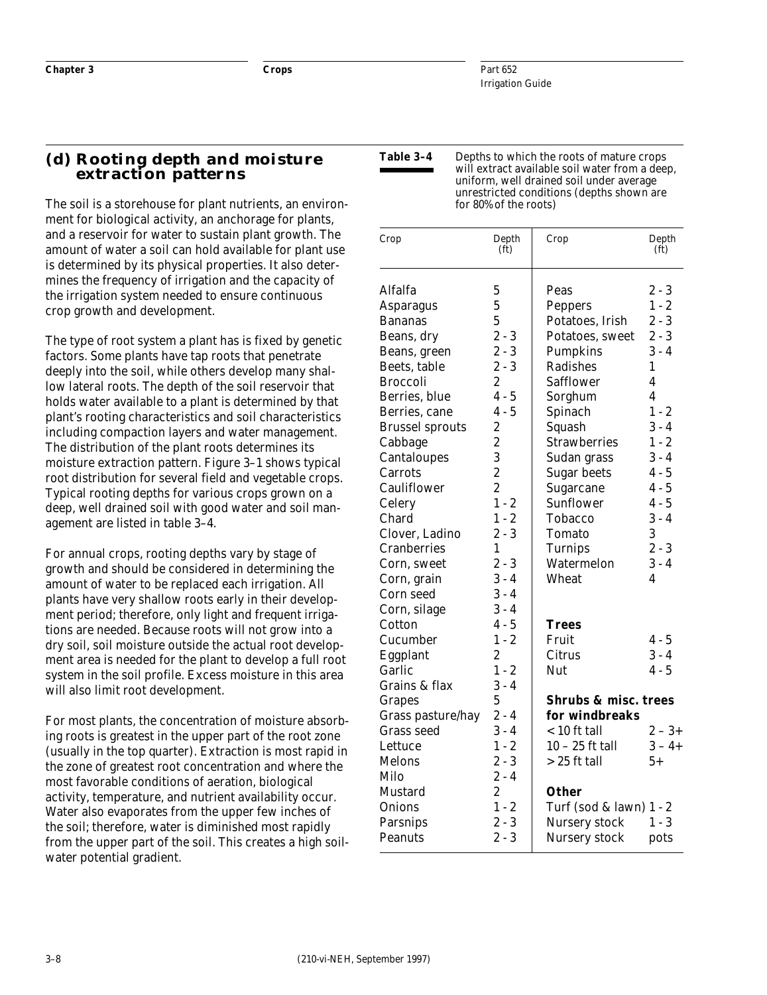#### **(d) Rooting depth and moisture extraction patterns**

The soil is a storehouse for plant nutrients, an environment for biological activity, an anchorage for plants, and a reservoir for water to sustain plant growth. The amount of water a soil can hold available for plant use is determined by its physical properties. It also determines the frequency of irrigation and the capacity of the irrigation system needed to ensure continuous crop growth and development.

The type of root system a plant has is fixed by genetic factors. Some plants have tap roots that penetrate deeply into the soil, while others develop many shallow lateral roots. The depth of the soil reservoir that holds water available to a plant is determined by that plant's rooting characteristics and soil characteristics including compaction layers and water management. The distribution of the plant roots determines its moisture extraction pattern. Figure 3–1 shows typical root distribution for several field and vegetable crops. Typical rooting depths for various crops grown on a deep, well drained soil with good water and soil management are listed in table 3–4.

For annual crops, rooting depths vary by stage of growth and should be considered in determining the amount of water to be replaced each irrigation. All plants have very shallow roots early in their development period; therefore, only light and frequent irrigations are needed. Because roots will not grow into a dry soil, soil moisture outside the actual root development area is needed for the plant to develop a full root system in the soil profile. Excess moisture in this area will also limit root development.

For most plants, the concentration of moisture absorbing roots is greatest in the upper part of the root zone (usually in the top quarter). Extraction is most rapid in the zone of greatest root concentration and where the most favorable conditions of aeration, biological activity, temperature, and nutrient availability occur. Water also evaporates from the upper few inches of the soil; therefore, water is diminished most rapidly from the upper part of the soil. This creates a high soilwater potential gradient.

| Table 3–4 | Depths to which the roots of mature crops                                                  |
|-----------|--------------------------------------------------------------------------------------------|
|           | will extract available soil water from a deep,<br>uniform, well drained soil under average |
|           | unrestricted conditions (depths shown are<br>for 80% of the roots)                         |

| Depth<br>(f <sub>t</sub> ) | Crop                | Depth<br>(f <sub>t</sub> )                                                                            |
|----------------------------|---------------------|-------------------------------------------------------------------------------------------------------|
| 5                          | Peas                | $2 - 3$                                                                                               |
| 5                          | Peppers             | $1 - 2$                                                                                               |
| $\overline{5}$             | Potatoes, Irish     | $2 - 3$                                                                                               |
| $2 - 3$                    | Potatoes, sweet     | $2 - 3$                                                                                               |
| $2 - 3$                    | <b>Pumpkins</b>     | $3 - 4$                                                                                               |
| $2 - 3$                    | <b>Radishes</b>     | 1                                                                                                     |
| $\overline{2}$             | <b>Safflower</b>    | 4                                                                                                     |
| $4 - 5$                    |                     | 4                                                                                                     |
| $4 - 5$                    | Spinach             | $1 - 2$                                                                                               |
| $\boldsymbol{2}$           | Squash              | $3 - 4$                                                                                               |
| $\overline{c}$             | <b>Strawberries</b> | $1 - 2$                                                                                               |
| 3                          |                     | $3 - 4$                                                                                               |
| $\overline{c}$             | <b>Sugar beets</b>  | $4 - 5$                                                                                               |
| $\overline{2}$             | Sugarcane           | 4 - 5                                                                                                 |
| $1 - 2$                    | Sunflower           | $4 - 5$                                                                                               |
| $1 - 2$                    | Tobacco             | $3 - 4$                                                                                               |
| $2 - 3$                    | <b>Tomato</b>       | 3                                                                                                     |
| 1                          | <b>Turnips</b>      | $2 - 3$                                                                                               |
| $2 - 3$                    | Watermelon          | $3 - 4$                                                                                               |
| $3 - 4$                    | Wheat               | 4                                                                                                     |
| $3 - 4$                    |                     |                                                                                                       |
| $3 - 4$                    |                     |                                                                                                       |
| $4 - 5$                    | Trees               |                                                                                                       |
| $1 - 2$                    | Fruit               | 4 - 5                                                                                                 |
| 2                          | Citrus              | $3 - 4$                                                                                               |
| $1 - 2$                    | Nut                 | $4 - 5$                                                                                               |
| $3 - 4$                    |                     |                                                                                                       |
| 5                          |                     |                                                                                                       |
|                            | for windbreaks      |                                                                                                       |
| $3 - 4$                    | $< 10$ ft tall      | $2 - 3 +$                                                                                             |
| $1 - 2$                    | $10 - 25$ ft tall   | $3 - 4 +$                                                                                             |
| $2 - 3$                    | $> 25$ ft tall      | $5+$                                                                                                  |
| $2 - 4$                    |                     |                                                                                                       |
| 2                          | Other               |                                                                                                       |
| $1 - 2$                    |                     |                                                                                                       |
| $2 - 3$                    |                     | $1 - 3$                                                                                               |
| $2 - 3$                    | Nursery stock       | pots                                                                                                  |
|                            | $2 - 4$             | Sorghum<br>Sudan grass<br><b>Shrubs &amp; misc. trees</b><br>Turf (sod & lawn) 1 - 2<br>Nursery stock |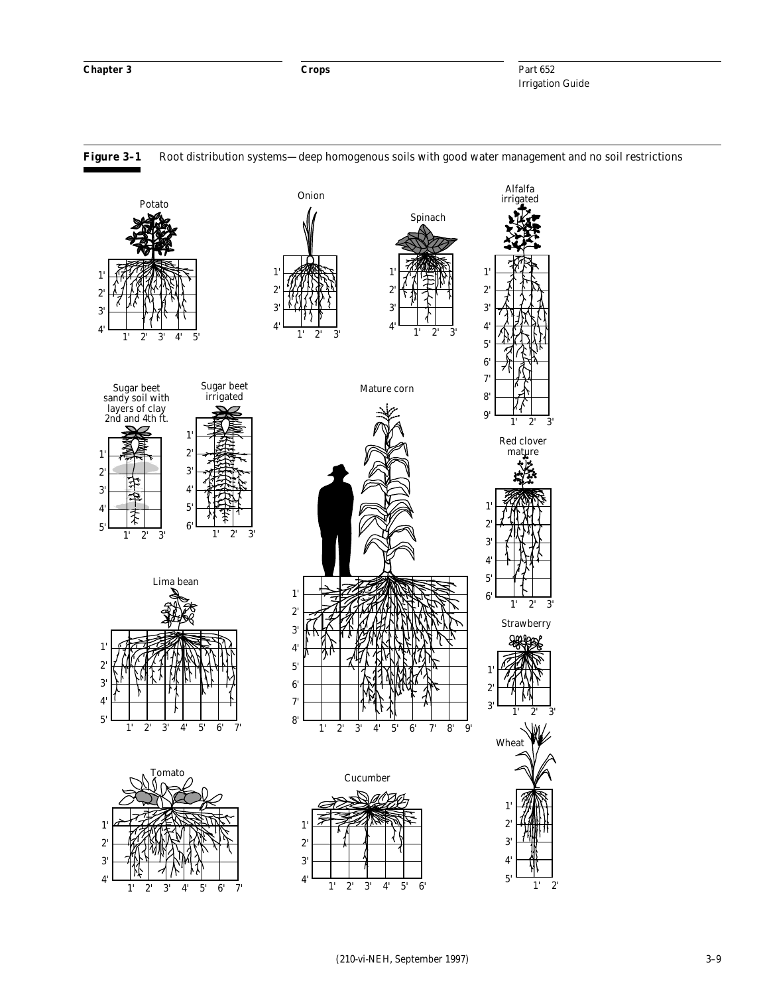

#### **Figure 3–1** Root distribution systems—deep homogenous soils with good water management and no soil restrictions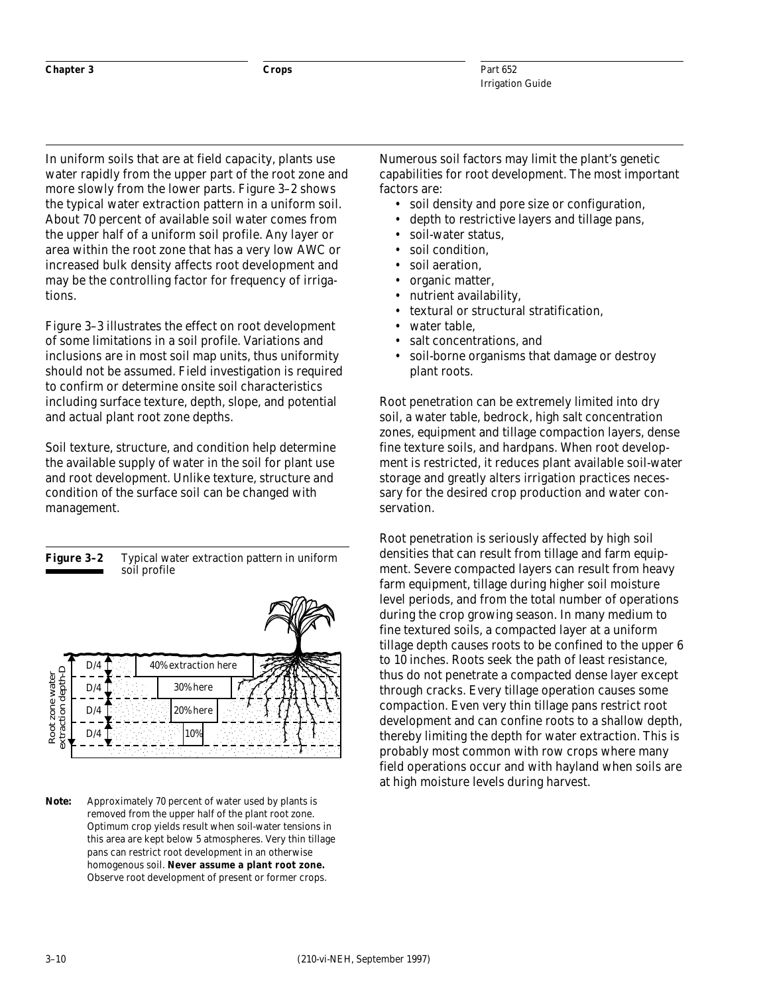In uniform soils that are at field capacity, plants use water rapidly from the upper part of the root zone and more slowly from the lower parts. Figure 3–2 shows the typical water extraction pattern in a uniform soil. About 70 percent of available soil water comes from the upper half of a uniform soil profile. Any layer or area within the root zone that has a very low AWC or increased bulk density affects root development and may be the controlling factor for frequency of irrigations.

Figure 3–3 illustrates the effect on root development of some limitations in a soil profile. Variations and inclusions are in most soil map units, thus uniformity should not be assumed. Field investigation is required to confirm or determine onsite soil characteristics including surface texture, depth, slope, and potential and actual plant root zone depths.

Soil texture, structure, and condition help determine the available supply of water in the soil for plant use and root development. Unlike texture, structure and condition of the surface soil can be changed with management.

#### **Figure 3–2** Typical water extraction pattern in uniform soil profile



*Note:* Approximately 70 percent of water used by plants is removed from the upper half of the plant root zone. Optimum crop yields result when soil-water tensions in this area are kept below 5 atmospheres. Very thin tillage pans can restrict root development in an otherwise homogenous soil. **Never assume a plant root zone.** Observe root development of present or former crops.

Numerous soil factors may limit the plant's genetic capabilities for root development. The most important factors are:

- soil density and pore size or configuration,
- depth to restrictive layers and tillage pans,
- soil-water status.
- soil condition.
- soil aeration.
- organic matter,
- nutrient availability,
- textural or structural stratification,
- water table.
- salt concentrations, and
- soil-borne organisms that damage or destroy plant roots.

Root penetration can be extremely limited into dry soil, a water table, bedrock, high salt concentration zones, equipment and tillage compaction layers, dense fine texture soils, and hardpans. When root development is restricted, it reduces plant available soil-water storage and greatly alters irrigation practices necessary for the desired crop production and water conservation.

Root penetration is seriously affected by high soil densities that can result from tillage and farm equipment. Severe compacted layers can result from heavy farm equipment, tillage during higher soil moisture level periods, and from the total number of operations during the crop growing season. In many medium to fine textured soils, a compacted layer at a uniform tillage depth causes roots to be confined to the upper 6 to 10 inches. Roots seek the path of least resistance, thus do not penetrate a compacted dense layer except through cracks. Every tillage operation causes some compaction. Even very thin tillage pans restrict root development and can confine roots to a shallow depth, thereby limiting the depth for water extraction. This is probably most common with row crops where many field operations occur and with hayland when soils are at high moisture levels during harvest.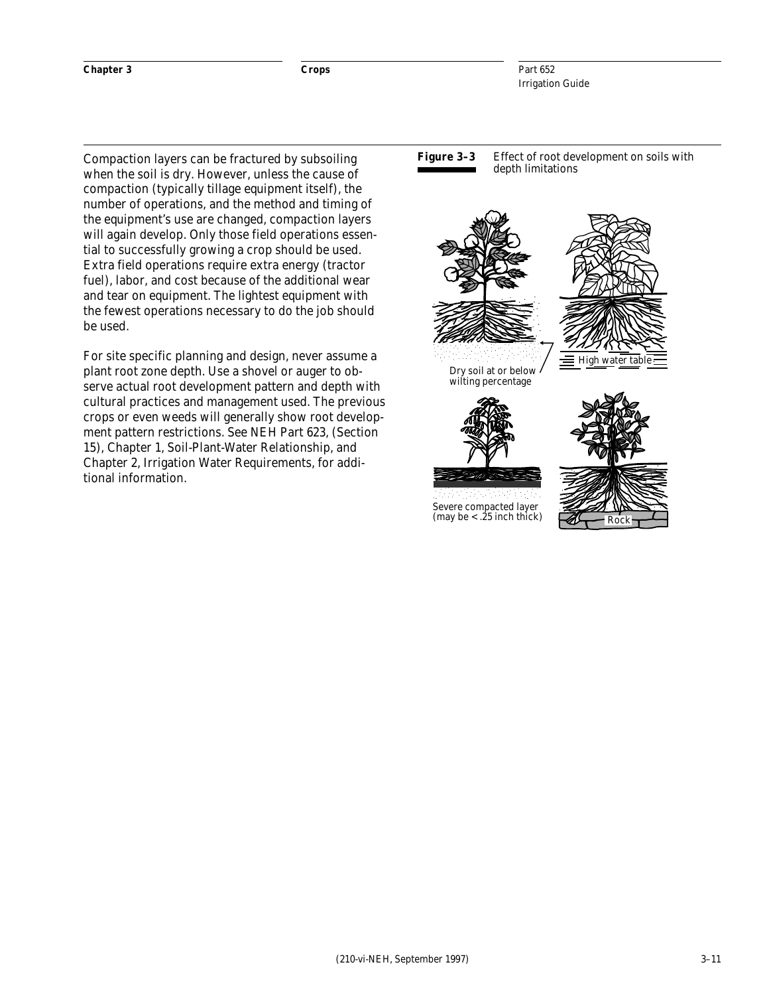#### **Chapter 3 Crops**

Part 652 Irrigation Guide

Compaction layers can be fractured by subsoiling when the soil is dry. However, unless the cause of compaction (typically tillage equipment itself), the number of operations, and the method and timing of the equipment's use are changed, compaction layers will again develop. Only those field operations essential to successfully growing a crop should be used. Extra field operations require extra energy (tractor fuel), labor, and cost because of the additional wear and tear on equipment. The lightest equipment with the fewest operations necessary to do the job should be used.

For site specific planning and design, never assume a plant root zone depth. Use a shovel or auger to observe actual root development pattern and depth with cultural practices and management used. The previous crops or even weeds will generally show root development pattern restrictions. See NEH Part 623, (Section 15), Chapter 1, Soil-Plant-Water Relationship, and Chapter 2, Irrigation Water Requirements, for additional information.

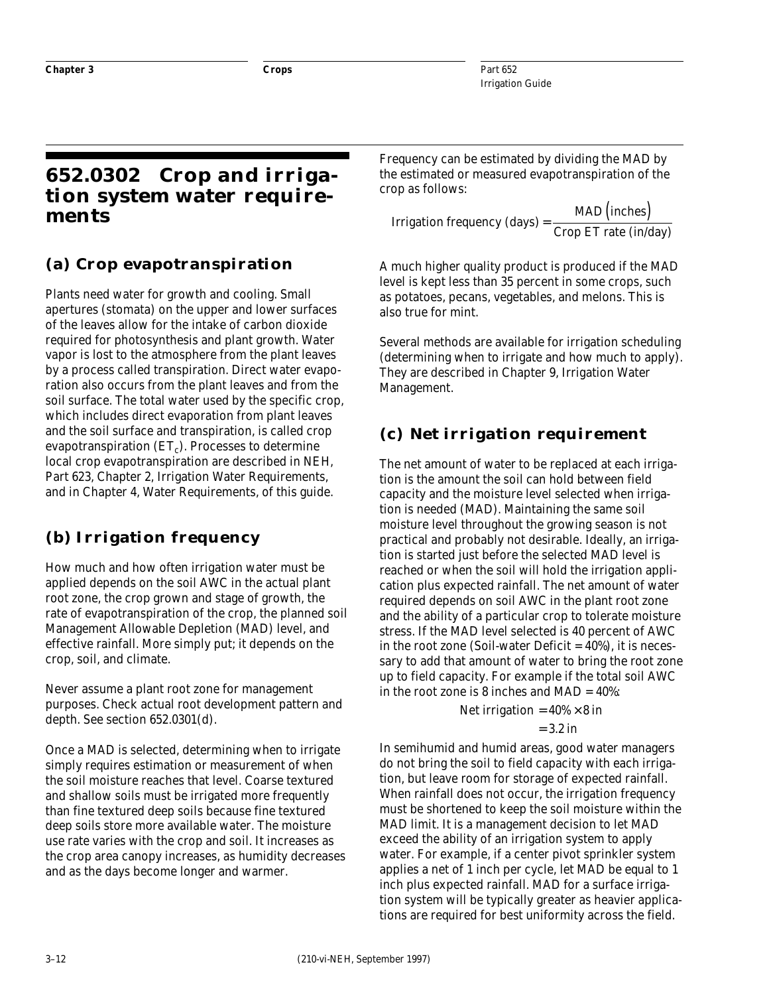### **652.0302 Crop and irrigation system water requirements**

### **(a) Crop evapotranspiration**

Plants need water for growth and cooling. Small apertures (stomata) on the upper and lower surfaces of the leaves allow for the intake of carbon dioxide required for photosynthesis and plant growth. Water vapor is lost to the atmosphere from the plant leaves by a process called transpiration. Direct water evaporation also occurs from the plant leaves and from the soil surface. The total water used by the specific crop, which includes direct evaporation from plant leaves and the soil surface and transpiration, is called crop evapotranspiration  $(ET_c)$ . Processes to determine local crop evapotranspiration are described in NEH, Part 623, Chapter 2, Irrigation Water Requirements, and in Chapter 4, Water Requirements, of this guide.

### **(b) Irrigation frequency**

How much and how often irrigation water must be applied depends on the soil AWC in the actual plant root zone, the crop grown and stage of growth, the rate of evapotranspiration of the crop, the planned soil Management Allowable Depletion (MAD) level, and effective rainfall. More simply put; it depends on the crop, soil, and climate.

Never assume a plant root zone for management purposes. Check actual root development pattern and depth. See section 652.0301(d).

Once a MAD is selected, determining when to irrigate simply requires estimation or measurement of when the soil moisture reaches that level. Coarse textured and shallow soils must be irrigated more frequently than fine textured deep soils because fine textured deep soils store more available water. The moisture use rate varies with the crop and soil. It increases as the crop area canopy increases, as humidity decreases and as the days become longer and warmer.

Frequency can be estimated by dividing the MAD by the estimated or measured evapotranspiration of the crop as follows:

Irrigation frequency (days)  $=\frac{\text{MAD (inches})}{\text{Crop ET rate (in/day)}}$ 

A much higher quality product is produced if the MAD level is kept less than 35 percent in some crops, such as potatoes, pecans, vegetables, and melons. This is also true for mint.

Several methods are available for irrigation scheduling (determining when to irrigate and how much to apply). They are described in Chapter 9, Irrigation Water Management.

### **(c) Net irrigation requirement**

The net amount of water to be replaced at each irrigation is the amount the soil can hold between field capacity and the moisture level selected when irrigation is needed (MAD). Maintaining the same soil moisture level throughout the growing season is not practical and probably not desirable. Ideally, an irrigation is started just before the selected MAD level is reached or when the soil will hold the irrigation application plus expected rainfall. The net amount of water required depends on soil AWC in the plant root zone and the ability of a particular crop to tolerate moisture stress. If the MAD level selected is 40 percent of AWC in the root zone (Soil-water Deficit  $= 40\%$ ), it is necessary to add that amount of water to bring the root zone up to field capacity. For example if the total soil AWC in the root zone is 8 inches and  $MAD = 40\%$ .

Net irrational = 
$$
40\% \times 8
$$
 in

$$
= 3.2 \text{ in}
$$

In semihumid and humid areas, good water managers do not bring the soil to field capacity with each irrigation, but leave room for storage of expected rainfall. When rainfall does not occur, the irrigation frequency must be shortened to keep the soil moisture within the MAD limit. It is a management decision to let MAD exceed the ability of an irrigation system to apply water. For example, if a center pivot sprinkler system applies a net of 1 inch per cycle, let MAD be equal to 1 inch plus expected rainfall. MAD for a surface irrigation system will be typically greater as heavier applications are required for best uniformity across the field.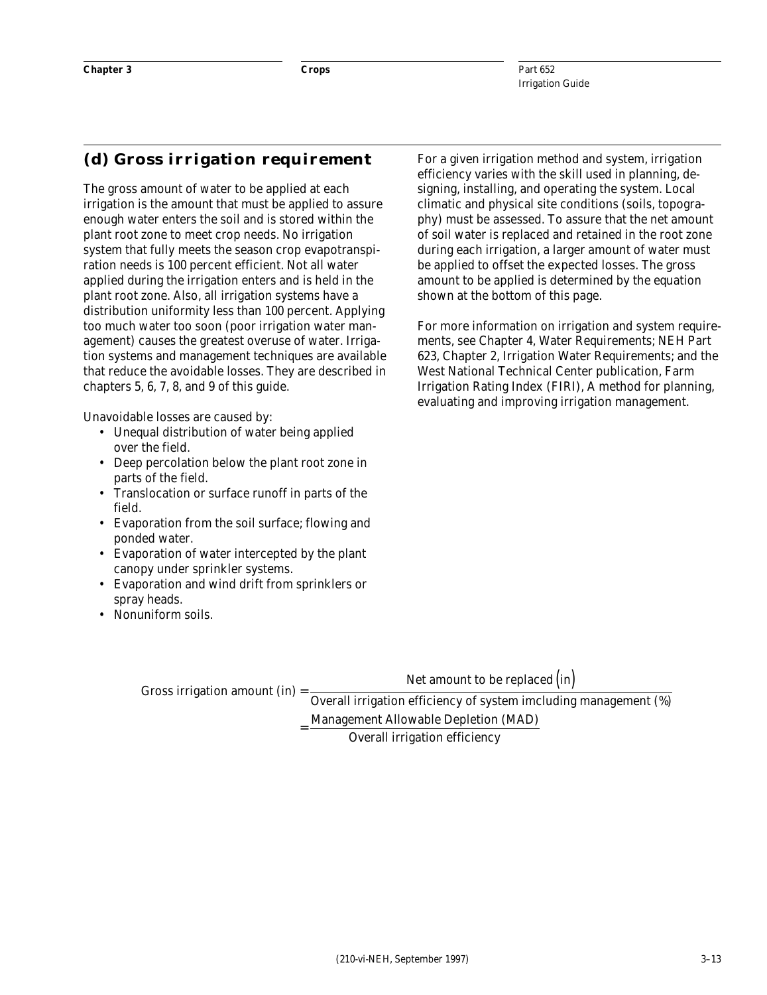#### **(d) Gross irrigation requirement**

The gross amount of water to be applied at each irrigation is the amount that must be applied to assure enough water enters the soil and is stored within the plant root zone to meet crop needs. No irrigation system that fully meets the season crop evapotranspiration needs is 100 percent efficient. Not all water applied during the irrigation enters and is held in the plant root zone. Also, all irrigation systems have a distribution uniformity less than 100 percent. Applying too much water too soon (poor irrigation water management) causes the greatest overuse of water. Irrigation systems and management techniques are available that reduce the avoidable losses. They are described in chapters 5, 6, 7, 8, and 9 of this guide.

Unavoidable losses are caused by:

- Unequal distribution of water being applied over the field.
- Deep percolation below the plant root zone in parts of the field.
- Translocation or surface runoff in parts of the field.
- Evaporation from the soil surface; flowing and ponded water.
- Evaporation of water intercepted by the plant canopy under sprinkler systems.
- Evaporation and wind drift from sprinklers or spray heads.

=

• Nonuniform soils.

For a given irrigation method and system, irrigation efficiency varies with the skill used in planning, designing, installing, and operating the system. Local climatic and physical site conditions (soils, topography) must be assessed. To assure that the net amount of soil water is replaced and retained in the root zone during each irrigation, a larger amount of water must be applied to offset the expected losses. The gross amount to be applied is determined by the equation shown at the bottom of this page.

For more information on irrigation and system requirements, see Chapter 4, Water Requirements; NEH Part 623, Chapter 2, Irrigation Water Requirements; and the West National Technical Center publication, Farm Irrigation Rating Index (FIRI), A method for planning, evaluating and improving irrigation management.

Net amount to be replaced  $(in)$ 

Gross irrigation amount  $(in)$  = Overall irrigation efficiency of system imcluding management (%)

Management Allowable Depletion (MAD)

Overall irrigation efficiency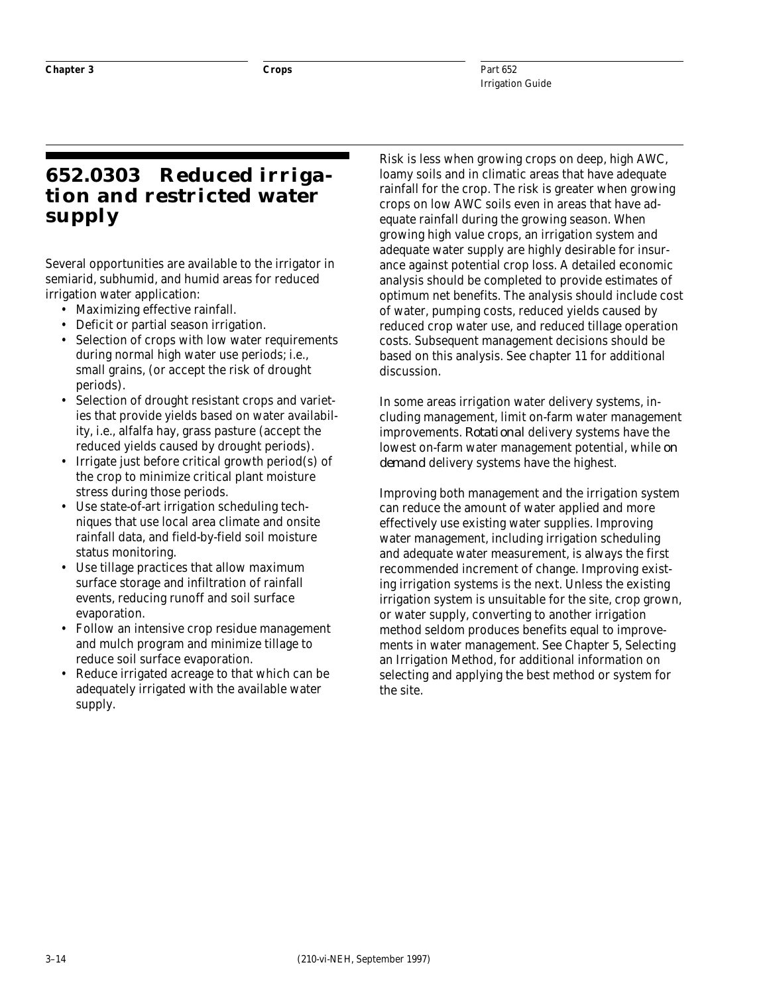### **652.0303 Reduced irrigation and restricted water supply**

Several opportunities are available to the irrigator in semiarid, subhumid, and humid areas for reduced irrigation water application:

- Maximizing effective rainfall.
- Deficit or partial season irrigation.
- Selection of crops with low water requirements during normal high water use periods; i.e., small grains, (or accept the risk of drought periods).
- Selection of drought resistant crops and varieties that provide yields based on water availability, i.e., alfalfa hay, grass pasture (accept the reduced yields caused by drought periods).
- Irrigate just before critical growth period(s) of the crop to minimize critical plant moisture stress during those periods.
- Use state-of-art irrigation scheduling techniques that use local area climate and onsite rainfall data, and field-by-field soil moisture status monitoring.
- Use tillage practices that allow maximum surface storage and infiltration of rainfall events, reducing runoff and soil surface evaporation.
- Follow an intensive crop residue management and mulch program and minimize tillage to reduce soil surface evaporation.
- Reduce irrigated acreage to that which can be adequately irrigated with the available water supply.

Risk is less when growing crops on deep, high AWC, loamy soils and in climatic areas that have adequate rainfall for the crop. The risk is greater when growing crops on low AWC soils even in areas that have adequate rainfall during the growing season. When growing high value crops, an irrigation system and adequate water supply are highly desirable for insurance against potential crop loss. A detailed economic analysis should be completed to provide estimates of optimum net benefits. The analysis should include cost of water, pumping costs, reduced yields caused by reduced crop water use, and reduced tillage operation costs. Subsequent management decisions should be based on this analysis. See chapter 11 for additional discussion.

In some areas irrigation water delivery systems, including management, limit on-farm water management improvements. *Rotational* delivery systems have the lowest on-farm water management potential, while *on demand* delivery systems have the highest.

Improving both management and the irrigation system can reduce the amount of water applied and more effectively use existing water supplies. Improving water management, including irrigation scheduling and adequate water measurement, is always the first recommended increment of change. Improving existing irrigation systems is the next. Unless the existing irrigation system is unsuitable for the site, crop grown, or water supply, converting to another irrigation method seldom produces benefits equal to improvements in water management. See Chapter 5, Selecting an Irrigation Method, for additional information on selecting and applying the best method or system for the site.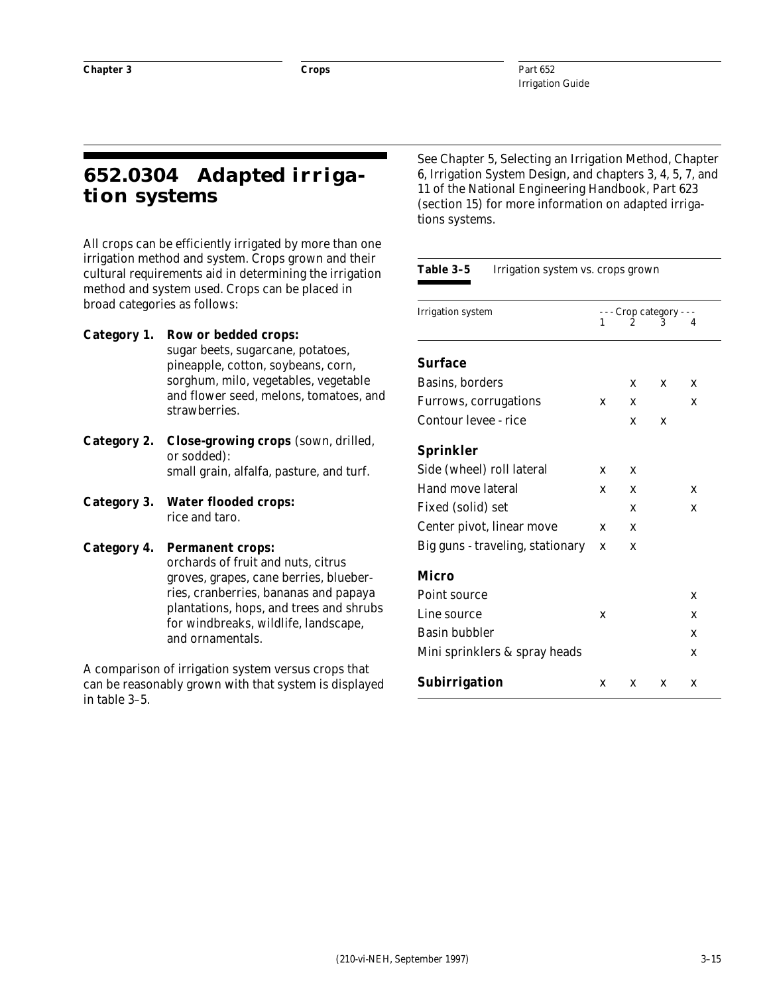### **652.0304 Adapted irrigation systems**

All crops can be efficiently irrigated by more than one irrigation method and system. Crops grown and their cultural requirements aid in determining the irrigation method and system used. Crops can be placed in broad categories as follows:

#### **Category 1. Row or bedded crops:**

sugar beets, sugarcane, potatoes, pineapple, cotton, soybeans, corn, sorghum, milo, vegetables, vegetable and flower seed, melons, tomatoes, and strawberries.

- **Category 2. Close-growing crops** (sown, drilled, or sodded): small grain, alfalfa, pasture, and turf.
- **Category 3. Water flooded crops:** rice and taro.

#### **Category 4. Permanent crops:**

orchards of fruit and nuts, citrus groves, grapes, cane berries, blueberries, cranberries, bananas and papaya plantations, hops, and trees and shrubs for windbreaks, wildlife, landscape, and ornamentals.

A comparison of irrigation system versus crops that can be reasonably grown with that system is displayed in table 3–5.

See Chapter 5, Selecting an Irrigation Method, Chapter 6, Irrigation System Design, and chapters 3, 4, 5, 7, and 11 of the National Engineering Handbook, Part 623 (section 15) for more information on adapted irrigations systems.

#### Table 3-5 Irrigation system vs. crops grown

| <b>Irrigation system</b>         | 1 |   | - - - Crop category - | 4 |
|----------------------------------|---|---|-----------------------|---|
| <b>Surface</b>                   |   |   |                       |   |
| Basins, borders                  |   | X | X                     | X |
| Furrows, corrugations            | X | X |                       | X |
| Contour levee - rice             |   | X | X                     |   |
| <b>Sprinkler</b>                 |   |   |                       |   |
| Side (wheel) roll lateral        | X | X |                       |   |
| Hand move lateral                | X | X |                       | X |
| Fixed (solid) set                |   | X |                       | X |
| Center pivot, linear move        | X | X |                       |   |
| Big guns - traveling, stationary | X | X |                       |   |
| Micro                            |   |   |                       |   |
| Point source                     |   |   |                       | X |
| Line source                      | X |   |                       | X |
| <b>Basin bubbler</b>             |   |   |                       | X |
| Mini sprinklers & spray heads    |   |   |                       | X |
| <b>Subirrigation</b>             | X | X | X                     | X |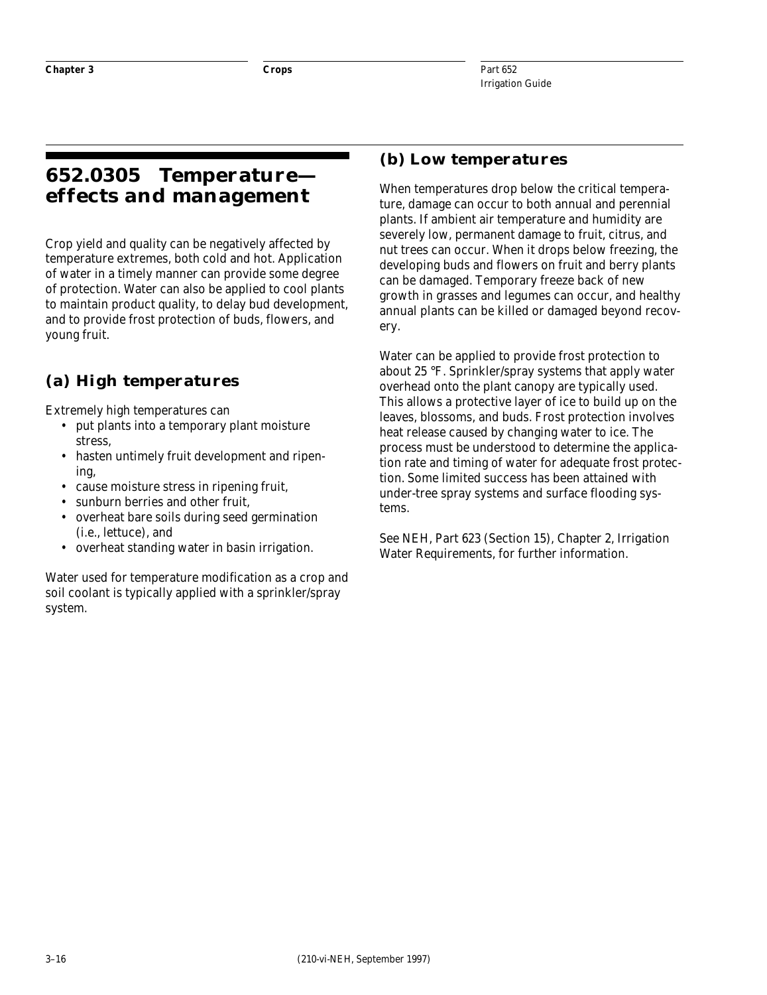### **652.0305 Temperature effects and management**

Crop yield and quality can be negatively affected by temperature extremes, both cold and hot. Application of water in a timely manner can provide some degree of protection. Water can also be applied to cool plants to maintain product quality, to delay bud development, and to provide frost protection of buds, flowers, and young fruit.

### **(a) High temperatures**

Extremely high temperatures can

- put plants into a temporary plant moisture stress,
- hasten untimely fruit development and ripening,
- cause moisture stress in ripening fruit,
- sunburn berries and other fruit,
- overheat bare soils during seed germination (i.e., lettuce), and
- overheat standing water in basin irrigation.

Water used for temperature modification as a crop and soil coolant is typically applied with a sprinkler/spray system.

#### **(b) Low temperatures**

When temperatures drop below the critical temperature, damage can occur to both annual and perennial plants. If ambient air temperature and humidity are severely low, permanent damage to fruit, citrus, and nut trees can occur. When it drops below freezing, the developing buds and flowers on fruit and berry plants can be damaged. Temporary freeze back of new growth in grasses and legumes can occur, and healthy annual plants can be killed or damaged beyond recovery.

Water can be applied to provide frost protection to about 25 °F. Sprinkler/spray systems that apply water overhead onto the plant canopy are typically used. This allows a protective layer of ice to build up on the leaves, blossoms, and buds. Frost protection involves heat release caused by changing water to ice. The process must be understood to determine the application rate and timing of water for adequate frost protection. Some limited success has been attained with under-tree spray systems and surface flooding systems.

See NEH, Part 623 (Section 15), Chapter 2, Irrigation Water Requirements, for further information.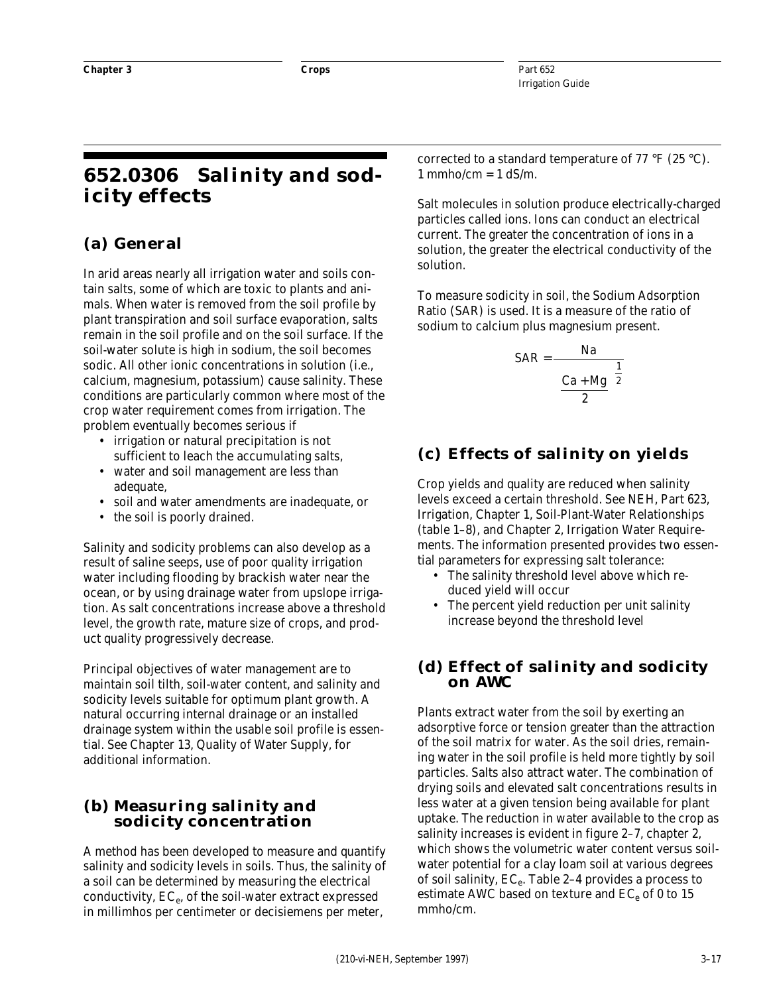### **652.0306 Salinity and sodicity effects**

#### **(a) General**

In arid areas nearly all irrigation water and soils contain salts, some of which are toxic to plants and animals. When water is removed from the soil profile by plant transpiration and soil surface evaporation, salts remain in the soil profile and on the soil surface. If the soil-water solute is high in sodium, the soil becomes sodic. All other ionic concentrations in solution (i.e., calcium, magnesium, potassium) cause salinity. These conditions are particularly common where most of the crop water requirement comes from irrigation. The problem eventually becomes serious if

- irrigation or natural precipitation is not sufficient to leach the accumulating salts,
- water and soil management are less than adequate.
- soil and water amendments are inadequate, or
- the soil is poorly drained.

Salinity and sodicity problems can also develop as a result of saline seeps, use of poor quality irrigation water including flooding by brackish water near the ocean, or by using drainage water from upslope irrigation. As salt concentrations increase above a threshold level, the growth rate, mature size of crops, and product quality progressively decrease.

Principal objectives of water management are to maintain soil tilth, soil-water content, and salinity and sodicity levels suitable for optimum plant growth. A natural occurring internal drainage or an installed drainage system within the usable soil profile is essential. See Chapter 13, Quality of Water Supply, for additional information.

#### **(b) Measuring salinity and sodicity concentration**

A method has been developed to measure and quantify salinity and sodicity levels in soils. Thus, the salinity of a soil can be determined by measuring the electrical conductivity,  $EC_e$ , of the soil-water extract expressed in millimhos per centimeter or decisiemens per meter,

corrected to a standard temperature of 77 °F (25 °C).  $1$  mmho/cm =  $1$  dS/m.

Salt molecules in solution produce electrically-charged particles called ions. Ions can conduct an electrical current. The greater the concentration of ions in a solution, the greater the electrical conductivity of the solution.

To measure sodicity in soil, the Sodium Adsorption Ratio (SAR) is used. It is a measure of the ratio of sodium to calcium plus magnesium present.

$$
SAR = \frac{Na}{\left(\frac{Ca + Mg}{2}\right)^{\frac{1}{2}}}
$$

### **(c) Effects of salinity on yields**

Crop yields and quality are reduced when salinity levels exceed a certain threshold. See NEH, Part 623, Irrigation, Chapter 1, Soil-Plant-Water Relationships (table 1–8), and Chapter 2, Irrigation Water Requirements. The information presented provides two essential parameters for expressing salt tolerance:

- The salinity threshold level above which reduced yield will occur
- The percent yield reduction per unit salinity increase beyond the threshold level

#### **(d) Effect of salinity and sodicity on AWC**

Plants extract water from the soil by exerting an adsorptive force or tension greater than the attraction of the soil matrix for water. As the soil dries, remaining water in the soil profile is held more tightly by soil particles. Salts also attract water. The combination of drying soils and elevated salt concentrations results in less water at a given tension being available for plant uptake. The reduction in water available to the crop as salinity increases is evident in figure 2–7, chapter 2, which shows the volumetric water content versus soilwater potential for a clay loam soil at various degrees of soil salinity,  $EC_e$ . Table 2–4 provides a process to estimate AWC based on texture and  $EC_e$  of 0 to 15 mmho/cm.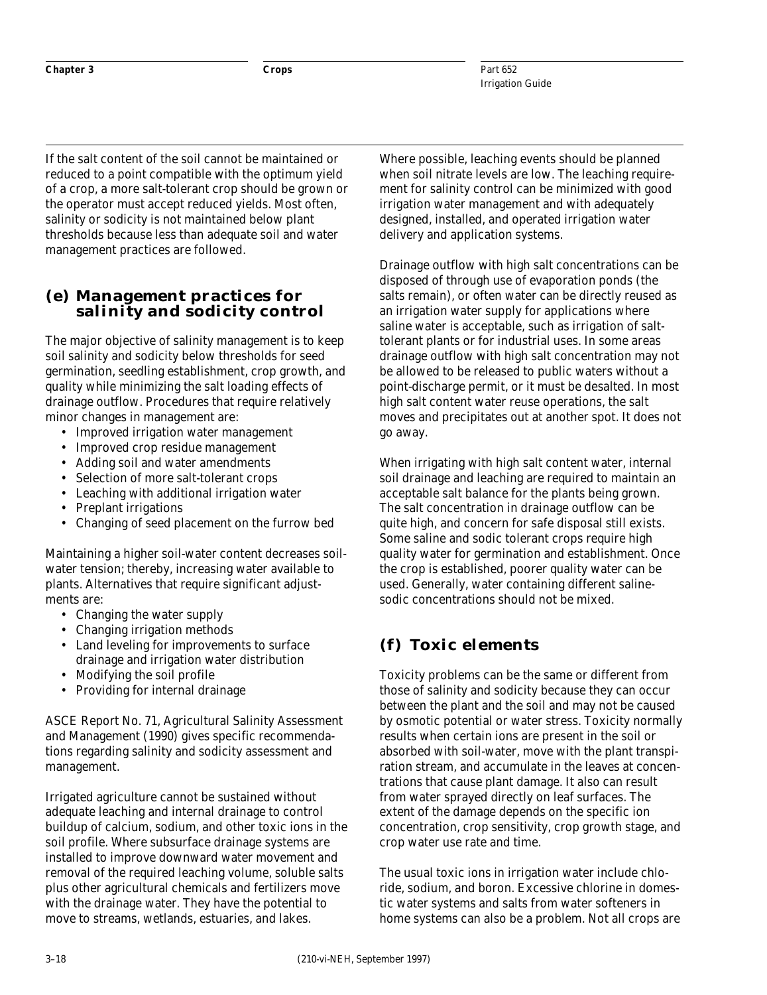If the salt content of the soil cannot be maintained or reduced to a point compatible with the optimum yield of a crop, a more salt-tolerant crop should be grown or the operator must accept reduced yields. Most often, salinity or sodicity is not maintained below plant thresholds because less than adequate soil and water management practices are followed.

#### **(e) Management practices for salinity and sodicity control**

The major objective of salinity management is to keep soil salinity and sodicity below thresholds for seed germination, seedling establishment, crop growth, and quality while minimizing the salt loading effects of drainage outflow. Procedures that require relatively minor changes in management are:

- Improved irrigation water management
- Improved crop residue management
- Adding soil and water amendments
- Selection of more salt-tolerant crops
- Leaching with additional irrigation water
- Preplant irrigations
- Changing of seed placement on the furrow bed

Maintaining a higher soil-water content decreases soilwater tension; thereby, increasing water available to plants. Alternatives that require significant adjustments are:

- Changing the water supply
- Changing irrigation methods
- Land leveling for improvements to surface drainage and irrigation water distribution
- Modifying the soil profile
- Providing for internal drainage

ASCE Report No. 71, Agricultural Salinity Assessment and Management (1990) gives specific recommendations regarding salinity and sodicity assessment and management.

Irrigated agriculture cannot be sustained without adequate leaching and internal drainage to control buildup of calcium, sodium, and other toxic ions in the soil profile. Where subsurface drainage systems are installed to improve downward water movement and removal of the required leaching volume, soluble salts plus other agricultural chemicals and fertilizers move with the drainage water. They have the potential to move to streams, wetlands, estuaries, and lakes.

Where possible, leaching events should be planned when soil nitrate levels are low. The leaching requirement for salinity control can be minimized with good irrigation water management and with adequately designed, installed, and operated irrigation water delivery and application systems.

Drainage outflow with high salt concentrations can be disposed of through use of evaporation ponds (the salts remain), or often water can be directly reused as an irrigation water supply for applications where saline water is acceptable, such as irrigation of salttolerant plants or for industrial uses. In some areas drainage outflow with high salt concentration may not be allowed to be released to public waters without a point-discharge permit, or it must be desalted. In most high salt content water reuse operations, the salt moves and precipitates out at another spot. It does not go away.

When irrigating with high salt content water, internal soil drainage and leaching are required to maintain an acceptable salt balance for the plants being grown. The salt concentration in drainage outflow can be quite high, and concern for safe disposal still exists. Some saline and sodic tolerant crops require high quality water for germination and establishment. Once the crop is established, poorer quality water can be used. Generally, water containing different salinesodic concentrations should not be mixed.

#### **(f) Toxic elements**

Toxicity problems can be the same or different from those of salinity and sodicity because they can occur between the plant and the soil and may not be caused by osmotic potential or water stress. Toxicity normally results when certain ions are present in the soil or absorbed with soil-water, move with the plant transpiration stream, and accumulate in the leaves at concentrations that cause plant damage. It also can result from water sprayed directly on leaf surfaces. The extent of the damage depends on the specific ion concentration, crop sensitivity, crop growth stage, and crop water use rate and time.

The usual toxic ions in irrigation water include chloride, sodium, and boron. Excessive chlorine in domestic water systems and salts from water softeners in home systems can also be a problem. Not all crops are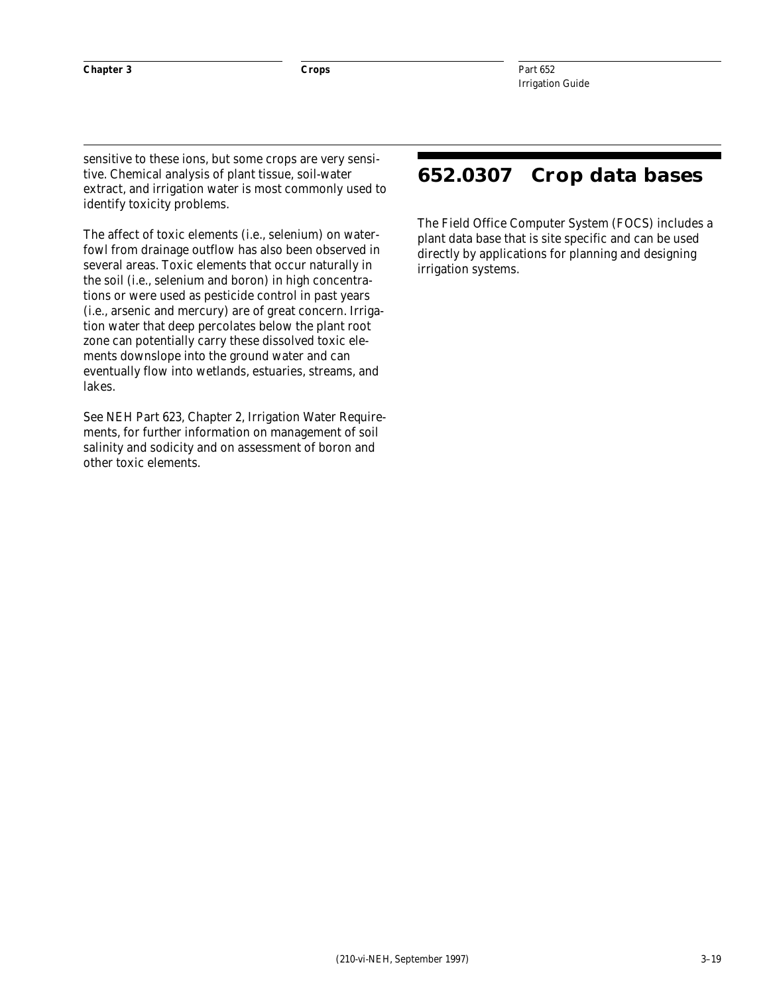sensitive to these ions, but some crops are very sensitive. Chemical analysis of plant tissue, soil-water extract, and irrigation water is most commonly used to identify toxicity problems.

The affect of toxic elements (i.e., selenium) on waterfowl from drainage outflow has also been observed in several areas. Toxic elements that occur naturally in the soil (i.e., selenium and boron) in high concentrations or were used as pesticide control in past years (i.e., arsenic and mercury) are of great concern. Irrigation water that deep percolates below the plant root zone can potentially carry these dissolved toxic elements downslope into the ground water and can eventually flow into wetlands, estuaries, streams, and lakes.

See NEH Part 623, Chapter 2, Irrigation Water Requirements, for further information on management of soil salinity and sodicity and on assessment of boron and other toxic elements.

### **652.0307 Crop data bases**

The Field Office Computer System (FOCS) includes a plant data base that is site specific and can be used directly by applications for planning and designing irrigation systems.